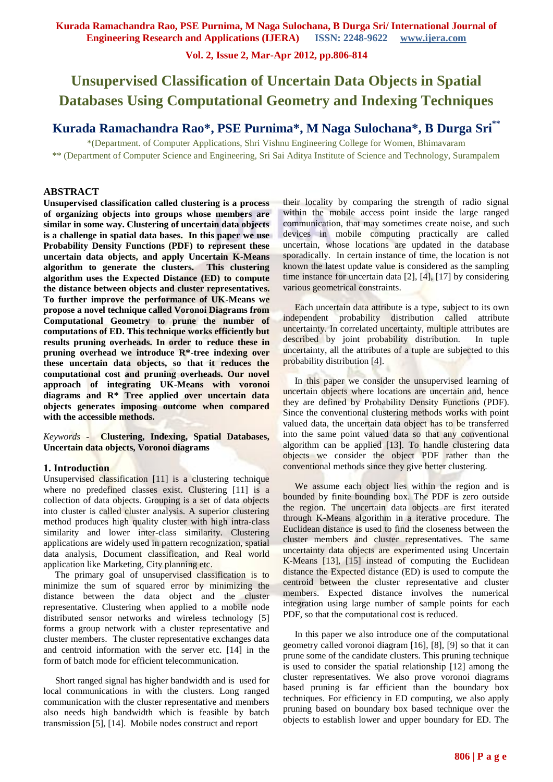**Vol. 2, Issue 2, Mar-Apr 2012, pp.806-814**

# **Unsupervised Classification of Uncertain Data Objects in Spatial Databases Using Computational Geometry and Indexing Techniques**

## **Kurada Ramachandra Rao\*, PSE Purnima\*, M Naga Sulochana\*, B Durga Sri \*\***

\*(Department. of Computer Applications, Shri Vishnu Engineering College for Women, Bhimavaram \*\* (Department of Computer Science and Engineering, Sri Sai Aditya Institute of Science and Technology, Surampalem

## **ABSTRACT**

**Unsupervised classification called clustering is a process of organizing objects into groups whose members are similar in some way. Clustering of uncertain data objects is a challenge in spatial data bases. In this paper we use Probability Density Functions (PDF) to represent these uncertain data objects, and apply Uncertain K-Means algorithm to generate the clusters. This clustering algorithm uses the Expected Distance (ED) to compute the distance between objects and cluster representatives. To further improve the performance of UK-Means we propose a novel technique called Voronoi Diagrams from Computational Geometry to prune the number of computations of ED. This technique works efficiently but results pruning overheads. In order to reduce these in pruning overhead we introduce R\*-tree indexing over these uncertain data objects, so that it reduces the computational cost and pruning overheads. Our novel approach of integrating UK-Means with voronoi diagrams and R\* Tree applied over uncertain data objects generates imposing outcome when compared with the accessible methods.** 

*Keywords* **- Clustering, Indexing, Spatial Databases, Uncertain data objects, Voronoi diagrams**

#### **1. Introduction**

Unsupervised classification [11] is a clustering technique where no predefined classes exist. Clustering [11] is a collection of data objects. Grouping is a set of data objects into cluster is called cluster analysis. A superior clustering method produces high quality cluster with high intra-class similarity and lower inter-class similarity. Clustering applications are widely used in pattern recognization, spatial data analysis, Document classification, and Real world application like Marketing, City planning etc.

 The primary goal of unsupervised classification is to minimize the sum of squared error by minimizing the distance between the data object and the cluster representative. Clustering when applied to a mobile node distributed sensor networks and wireless technology [5] forms a group network with a cluster representative and cluster members. The cluster representative exchanges data and centroid information with the server etc. [14] in the form of batch mode for efficient telecommunication.

 Short ranged signal has higher bandwidth and is used for local communications in with the clusters. Long ranged communication with the cluster representative and members also needs high bandwidth which is feasible by batch transmission [5], [14]. Mobile nodes construct and report

their locality by comparing the strength of radio signal within the mobile access point inside the large ranged communication, that may sometimes create noise, and such devices in mobile computing practically are called uncertain, whose locations are updated in the database sporadically. In certain instance of time, the location is not known the latest update value is considered as the sampling time instance for uncertain data [2], [4], [17] by considering various geometrical constraints.

 Each uncertain data attribute is a type, subject to its own independent probability distribution called attribute uncertainty. In correlated uncertainty, multiple attributes are described by joint probability distribution. In tuple uncertainty, all the attributes of a tuple are subjected to this probability distribution [4].

In this paper we consider the unsupervised learning of uncertain objects where locations are uncertain and, hence they are defined by Probability Density Functions (PDF). Since the conventional clustering methods works with point valued data, the uncertain data object has to be transferred into the same point valued data so that any conventional algorithm can be applied [13]. To handle clustering data objects we consider the object PDF rather than the conventional methods since they give better clustering.

 We assume each object lies within the region and is bounded by finite bounding box. The PDF is zero outside the region. The uncertain data objects are first iterated through K-Means algorithm in a iterative procedure. The Euclidean distance is used to find the closeness between the cluster members and cluster representatives. The same uncertainty data objects are experimented using Uncertain K-Means [13], [15] instead of computing the Euclidean distance the Expected distance (ED) is used to compute the centroid between the cluster representative and cluster members. Expected distance involves the numerical integration using large number of sample points for each PDF, so that the computational cost is reduced.

 In this paper we also introduce one of the computational geometry called voronoi diagram [16], [8], [9] so that it can prune some of the candidate clusters. This pruning technique is used to consider the spatial relationship [12] among the cluster representatives. We also prove voronoi diagrams based pruning is far efficient than the boundary box techniques. For efficiency in ED computing, we also apply pruning based on boundary box based technique over the objects to establish lower and upper boundary for ED. The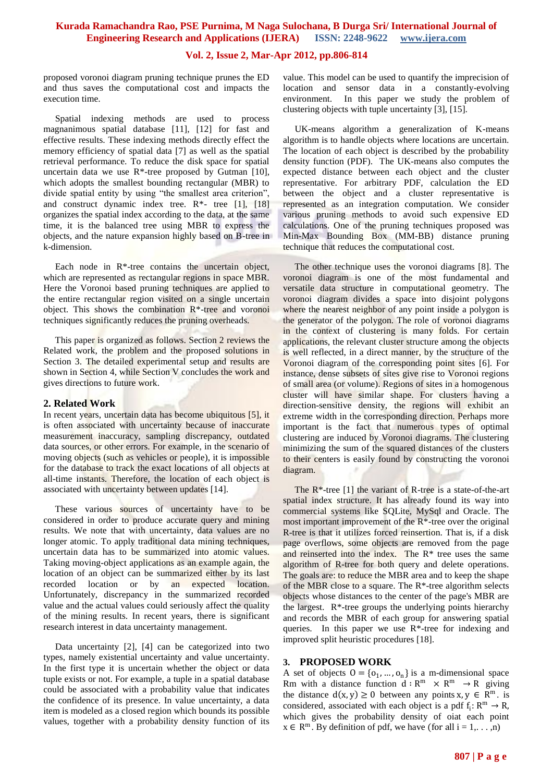## **Vol. 2, Issue 2, Mar-Apr 2012, pp.806-814**

proposed voronoi diagram pruning technique prunes the ED and thus saves the computational cost and impacts the execution time.

 Spatial indexing methods are used to process magnanimous spatial database [11], [12] for fast and effective results. These indexing methods directly effect the memory efficiency of spatial data [7] as well as the spatial retrieval performance. To reduce the disk space for spatial uncertain data we use  $R^*$ -tree proposed by Gutman [10], which adopts the smallest bounding rectangular (MBR) to divide spatial entity by using "the smallest area criterion", and construct dynamic index tree.  $R^*$ - tree [1], [18] organizes the spatial index according to the data, at the same time, it is the balanced tree using MBR to express the objects, and the nature expansion highly based on B-tree in k-dimension.

Each node in  $R^*$ -tree contains the uncertain object, which are represented as rectangular regions in space MBR. Here the Voronoi based pruning techniques are applied to the entire rectangular region visited on a single uncertain object. This shows the combination R\*-tree and voronoi techniques significantly reduces the pruning overheads.

 This paper is organized as follows. Section 2 reviews the Related work, the problem and the proposed solutions in Section 3. The detailed experimental setup and results are shown in Section 4, while Section V concludes the work and gives directions to future work.

#### **2. Related Work**

In recent years, uncertain data has become ubiquitous [5], it is often associated with uncertainty because of inaccurate measurement inaccuracy, sampling discrepancy, outdated data sources, or other errors. For example, in the scenario of moving objects (such as vehicles or people), it is impossible for the database to track the exact locations of all objects at all-time instants. Therefore, the location of each object is associated with uncertainty between updates [14].

These various sources of uncertainty have to be considered in order to produce accurate query and mining results. We note that with uncertainty, data values are no longer atomic. To apply traditional data mining techniques, uncertain data has to be summarized into atomic values. Taking moving-object applications as an example again, the location of an object can be summarized either by its last recorded location or by an expected location. Unfortunately, discrepancy in the summarized recorded value and the actual values could seriously affect the quality of the mining results. In recent years, there is significant research interest in data uncertainty management.

 Data uncertainty [2], [4] can be categorized into two types, namely existential uncertainty and value uncertainty. In the first type it is uncertain whether the object or data tuple exists or not. For example, a tuple in a spatial database could be associated with a probability value that indicates the confidence of its presence. In value uncertainty, a data item is modeled as a closed region which bounds its possible values, together with a probability density function of its

value. This model can be used to quantify the imprecision of location and sensor data in a constantly-evolving environment. In this paper we study the problem of clustering objects with tuple uncertainty [3], [15].

 UK-means algorithm a generalization of K-means algorithm is to handle objects where locations are uncertain. The location of each object is described by the probability density function (PDF). The UK-means also computes the expected distance between each object and the cluster representative. For arbitrary PDF, calculation the ED between the object and a cluster representative is represented as an integration computation. We consider various pruning methods to avoid such expensive ED calculations. One of the pruning techniques proposed was Min-Max Bounding Box (MM-BB) distance pruning technique that reduces the computational cost.

 The other technique uses the voronoi diagrams [8]. The voronoi diagram is one of the most fundamental and versatile data structure in computational geometry. The voronoi diagram divides a space into disjoint polygons where the nearest neighbor of any point inside a polygon is the generator of the polygon. The role of voronoi diagrams in the context of clustering is many folds. For certain applications, the relevant cluster structure among the objects is well reflected, in a direct manner, by the structure of the Voronoi diagram of the corresponding point sites [6]. For instance, dense subsets of sites give rise to Voronoi regions of small area (or volume). Regions of sites in a homogenous cluster will have similar shape. For clusters having a direction-sensitive density, the regions will exhibit an extreme width in the corresponding direction. Perhaps more important is the fact that numerous types of optimal clustering are induced by Voronoi diagrams. The clustering minimizing the sum of the squared distances of the clusters to their centers is easily found by constructing the voronoi diagram.

 The R\*-tree [1] the variant of R-tree is a state-of-the-art spatial index structure. It has already found its way into commercial systems like SQLite, MySql and Oracle. The most important improvement of the R\*-tree over the original R-tree is that it utilizes forced reinsertion. That is, if a disk page overflows, some objects are removed from the page and reinserted into the index. The  $R^*$  tree uses the same algorithm of R-tree for both query and delete operations. The goals are: to reduce the MBR area and to keep the shape of the MBR close to a square. The R\*-tree algorithm selects objects whose distances to the center of the page's MBR are the largest.  $R^*$ -tree groups the underlying points hierarchy and records the MBR of each group for answering spatial queries. In this paper we use R\*-tree for indexing and improved split heuristic procedures [18].

#### **3. PROPOSED WORK**

A set of objects  $0 = \{o_1, ..., o_n\}$  is a m-dimensional space Rm with a distance function  $d : R^m \times R^m \to R$  giving the distance  $d(x, y) \ge 0$  between any points  $x, y \in \mathbb{R}^m$ . is considered, associated with each object is a pdf  $f_i: R^m \to R$ , which gives the probability density of oiat each point  $x \in \mathbb{R}^m$ . By definition of pdf, we have (for all  $i = 1, \ldots, n$ )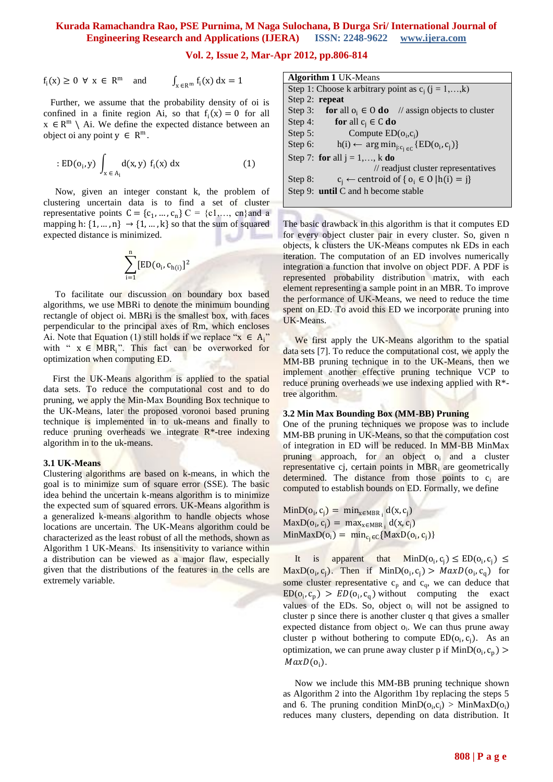**Vol. 2, Issue 2, Mar-Apr 2012, pp.806-814**

$$
f_i(x) \ge 0 \ \forall \ x \in \mathbb{R}^m \quad \text{and} \quad \int_{x \in \mathbb{R}^m} f_i(x) \, dx = 1
$$

 Further, we assume that the probability density of oi is confined in a finite region Ai, so that  $f_i(x) = 0$  for all  $x \in \mathbb{R}^m \setminus$  Ai. We define the expected distance between an object oi any point  $y \in R^m$ .

: 
$$
ED(o_i, y) \int_{x \in A_i} d(x, y) f_i(x) dx
$$
 (1)

 Now, given an integer constant k, the problem of clustering uncertain data is to find a set of cluster representative points  $C = \{c_1, ..., c_n\}$   $C = \{c_1, ..., c_n\}$  and a mapping h:  $\{1, ..., n\}$   $\rightarrow$   $\{1, ..., k\}$  so that the sum of squared expected distance is minimized.

$$
\sum_{i=1}^n[\text{ED}(o_i,c_{h(i)})^2
$$

 To facilitate our discussion on boundary box based algorithms, we use MBRi to denote the minimum bounding rectangle of object oi. MBRi is the smallest box, with faces perpendicular to the principal axes of Rm, which encloses Ai. Note that Equation (1) still holds if we replace " $x \in A_i$ " with "  $x \in MBR_i$ ". This fact can be overworked for optimization when computing ED.

 First the UK-Means algorithm is applied to the spatial data sets. To reduce the computational cost and to do pruning, we apply the Min-Max Bounding Box technique to the UK-Means, later the proposed voronoi based pruning technique is implemented in to uk-means and finally to reduce pruning overheads we integrate R\*-tree indexing algorithm in to the uk-means.

#### **3.1 UK-Means**

Clustering algorithms are based on k-means, in which the goal is to minimize sum of square error (SSE). The basic idea behind the uncertain k-means algorithm is to minimize the expected sum of squared errors. UK-Means algorithm is a generalized k-means algorithm to handle objects whose locations are uncertain. The UK-Means algorithm could be characterized as the least robust of all the methods, shown as Algorithm 1 UK-Means. Its insensitivity to variance within a distribution can be viewed as a major flaw, especially given that the distributions of the features in the cells are extremely variable.

**Algorithm 1** UK-Means Step 1: Choose k arbitrary point as  $c_i$  (j = 1,…,k) Step 2: **repeat** Step 3: **for** all  $o_i \in O$  **do** // assign objects to cluster Step 4: **for** all  $c_i \in C$  **do** Step 5: Compute  $ED(o_i, c_j)$ Step 6:  $h(i) \leftarrow \arg \min_{j:c_j \in C} \{ED(o_i, c_j)\}$ Step 7: **for** all  $j = 1, \ldots, k$  **do**  // readjust cluster representatives Step 8:  $c_i \leftarrow$  centroid of {  $o_i \in O | h(i) = j$ } Step 9: **until** C and h become stable

The basic drawback in this algorithm is that it computes ED for every object cluster pair in every cluster. So, given n objects, k clusters the UK-Means computes nk EDs in each iteration. The computation of an ED involves numerically integration a function that involve on object PDF. A PDF is represented probability distribution matrix, with each element representing a sample point in an MBR. To improve the performance of UK-Means, we need to reduce the time spent on ED. To avoid this ED we incorporate pruning into UK-Means.

We first apply the UK-Means algorithm to the spatial data sets [7]. To reduce the computational cost, we apply the MM-BB pruning technique in to the UK-Means, then we implement another effective pruning technique VCP to reduce pruning overheads we use indexing applied with R<sup>\*</sup>tree algorithm.

#### **3.2 Min Max Bounding Box (MM-BB) Pruning**

One of the pruning techniques we propose was to include MM-BB pruning in UK-Means, so that the computation cost of integration in ED will be reduced. In MM-BB MinMax pruning approach, for an object o<sub>i</sub> and a cluster representative cj, certain points in MBR<sub>i</sub> are geometrically determined. The distance from those points to  $c_i$  are computed to establish bounds on ED. Formally, we define

 $\text{MinD}(\mathbf{o}_i, \mathbf{c}_j) = \text{min}_{\mathbf{x} \in \text{MBR}_i} \mathbf{d}(\mathbf{x}, \mathbf{c}_j)$  $\text{MaxD}(\text{o}_i, \text{c}_j) = \text{max}_{\text{x} \in \text{MBR}_i} d(\text{x}, \text{c}_j)$  $\text{MinMaxD}(\text{o}_i) = \min_{\text{c}_j \in \text{C}} \{\text{MaxD}(\text{o}_i, \text{c}_j)\}$ 

It is apparent that  $MinD(o_i, c_j) \leq ED(o_i, c_j)$  $MaxD(o_i, c_j)$ . Then if  $MinD(o_i, c_j) > MaxD(o_i, c_q)$  for some cluster representative  $c_p$  and  $c_q$ , we can deduce that  $ED(o_i, c_p) > ED(o_i, c_q)$  without computing the exact values of the EDs. So, object  $o_i$  will not be assigned to cluster p since there is another cluster q that gives a smaller expected distance from object o<sub>i</sub>. We can thus prune away cluster p without bothering to compute  $ED(o_i, c_j)$ . As an optimization, we can prune away cluster p if  $MinD(o_i, c_p)$  $MaxD(o_i)$ .

 Now we include this MM-BB pruning technique shown as Algorithm 2 into the Algorithm 1by replacing the steps 5 and 6. The pruning condition  $MinD(o_i, c_j) > MinMaxD(o_i)$ reduces many clusters, depending on data distribution. It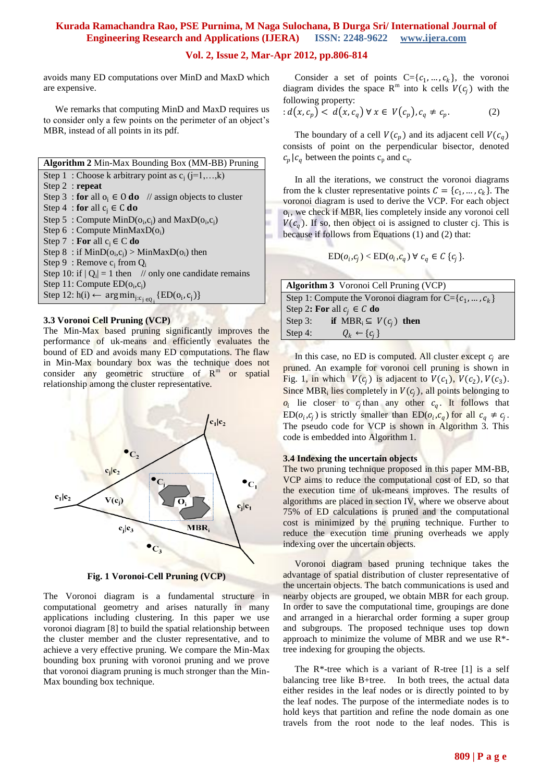## **Vol. 2, Issue 2, Mar-Apr 2012, pp.806-814**

avoids many ED computations over MinD and MaxD which are expensive.

 We remarks that computing MinD and MaxD requires us to consider only a few points on the perimeter of an object's MBR, instead of all points in its pdf.

**Algorithm 2** Min-Max Bounding Box (MM-BB) Pruning Step 1 : Choose k arbitrary point as  $c_i$  (j=1,...,k) Step 2 : **repeat** Step 3 : **for** all  $o_i \in O$  **do** // assign objects to cluster Step 4 : **for** all  $c_i \in C$  **do** Step 5: Compute  $MinD(o_i, c_j)$  and  $MaxD(o_i, c_j)$ Step  $6: Compute MinMaxD(o_i)$ Step 7 : **For** all  $c_i \in C$  **do** Step 8: if  $MinD(o_i, c_i) > MinMaxD(o_i)$  then Step 9 : Remove  $c_i$  from  $Q_i$ Step 10: if  $|Q_i| = 1$  then // only one candidate remains Step 11: Compute  $ED(o_i, c_j)$ Step 12: h(i)  $\leftarrow$  arg min<sub>j:c<sub>j ∈Q<sub>i</sub></sub> {ED(o<sub>i</sub>, c<sub>j</sub>)}</sub>

#### **3.3 Voronoi Cell Pruning (VCP)**

The Min-Max based pruning significantly improves the performance of uk-means and efficiently evaluates the bound of ED and avoids many ED computations. The flaw in Min-Max boundary box was the technique does not consider any geometric structure of  $R^m$ or spatial relationship among the cluster representative.



**Fig. 1 Voronoi-Cell Pruning (VCP)**

The Voronoi diagram is a fundamental structure in computational geometry and arises naturally in many applications including clustering. In this paper we use voronoi diagram [8] to build the spatial relationship between the cluster member and the cluster representative, and to achieve a very effective pruning. We compare the Min-Max bounding box pruning with voronoi pruning and we prove that voronoi diagram pruning is much stronger than the Min-Max bounding box technique.

Consider a set of points  $C = \{c_1, ..., c_k\}$ , the voronoi diagram divides the space  $R^m$  into k cells  $V(c_j)$  with the following property:

$$
: d(x, c_p) < d(x, c_q) \,\forall \, x \in V(c_p), c_q \neq c_p. \tag{2}
$$

The boundary of a cell  $V(c_p)$  and its adjacent cell  $V(c_q)$ consists of point on the perpendicular bisector, denoted  $c_p | c_q$  between the points  $c_p$  and  $c_q$ .

 In all the iterations, we construct the voronoi diagrams from the k cluster representative points  $C = \{c_1, ..., c_k\}$ . The voronoi diagram is used to derive the VCP. For each object  $o_i$ , we check if  $MBR_i$  lies completely inside any voronoi cell  $V(c_a)$ . If so, then object oi is assigned to cluster cj. This is because if follows from Equations (1) and (2) that:

$$
ED(o_i, c_j) < ED(o_i, c_q) \; \forall \; c_q \in C \; \{c_j\}.
$$

|                                | <b>Algorithm 3</b> Voronoi Cell Pruning (VCP)                |  |
|--------------------------------|--------------------------------------------------------------|--|
|                                | Step 1: Compute the Voronoi diagram for $C = \{c_1, , c_k\}$ |  |
| Step 2: For all $c_i \in C$ do |                                                              |  |
| Step $3$ :                     | if $MBR_i \subseteq V(c_i)$ then                             |  |
| Step 4:                        | $Q_k \leftarrow \{c_i\}$                                     |  |

In this case, no ED is computed. All cluster except  $c_i$  are pruned. An example for voronoi cell pruning is shown in Fig. 1, in which  $V(c_i)$  is adjacent to  $V(c_1)$ ,  $V(c_2)$ ,  $V(c_3)$ . Since MBR<sub>i</sub> lies completely in  $V(c_j)$ , all points belonging to  $o_i$  lie closer to  $c_j$  than any other  $c_q$ . It follows that  $ED(o_i, c_j)$  is strictly smaller than  $ED(o_i, c_q)$  for all  $c_q \neq c_j$ . The pseudo code for VCP is shown in Algorithm 3. This code is embedded into Algorithm 1.

#### **3.4 Indexing the uncertain objects**

The two pruning technique proposed in this paper MM-BB, VCP aims to reduce the computational cost of ED, so that the execution time of uk-means improves. The results of algorithms are placed in section IV, where we observe about 75% of ED calculations is pruned and the computational cost is minimized by the pruning technique. Further to reduce the execution time pruning overheads we apply indexing over the uncertain objects.

 Voronoi diagram based pruning technique takes the advantage of spatial distribution of cluster representative of the uncertain objects. The batch communications is used and nearby objects are grouped, we obtain MBR for each group. In order to save the computational time, groupings are done and arranged in a hierarchal order forming a super group and subgroups. The proposed technique uses top down approach to minimize the volume of MBR and we use  $R^*$ tree indexing for grouping the objects.

The  $R^*$ -tree which is a variant of R-tree [1] is a self balancing tree like B+tree. In both trees, the actual data either resides in the leaf nodes or is directly pointed to by the leaf nodes. The purpose of the intermediate nodes is to hold keys that partition and refine the node domain as one travels from the root node to the leaf nodes. This is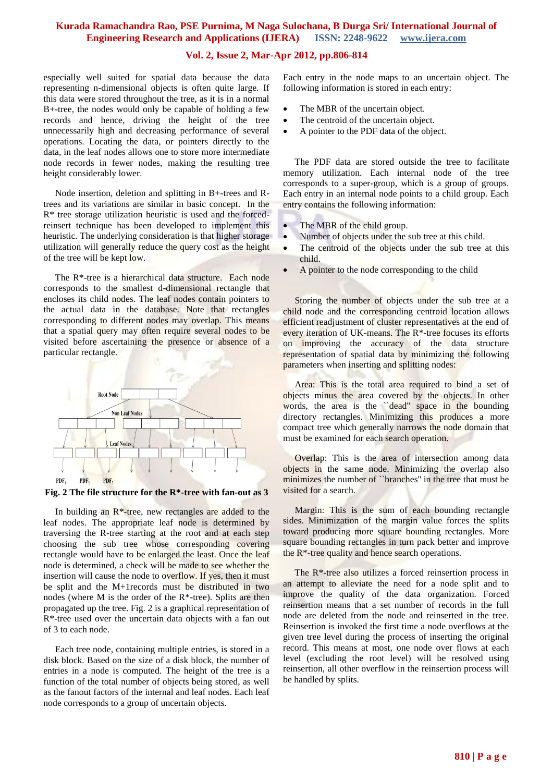## **Vol. 2, Issue 2, Mar-Apr 2012, pp.806-814**

especially well suited for spatial data because the data representing n-dimensional objects is often quite large. If this data were stored throughout the tree, as it is in a normal B+-tree, the nodes would only be capable of holding a few records and hence, driving the height of the tree unnecessarily high and decreasing performance of several operations. Locating the data, or pointers directly to the data, in the leaf nodes allows one to store more intermediate node records in fewer nodes, making the resulting tree height considerably lower.

 Node insertion, deletion and splitting in B+-trees and Rtrees and its variations are similar in basic concept. In the R\* tree storage utilization heuristic is used and the forcedreinsert technique has been developed to implement this heuristic. The underlying consideration is that higher storage utilization will generally reduce the query cost as the height of the tree will be kept low.

 The R\*-tree is a hierarchical data structure. Each node corresponds to the smallest d-dimensional rectangle that encloses its child nodes. The leaf nodes contain pointers to the actual data in the database. Note that rectangles corresponding to different nodes may overlap. This means that a spatial query may often require several nodes to be visited before ascertaining the presence or absence of a particular rectangle.



**Fig. 2 The file structure for the R\*-tree with fan-out as 3**

In building an  $R^*$ -tree, new rectangles are added to the leaf nodes. The appropriate leaf node is determined by traversing the R-tree starting at the root and at each step choosing the sub tree whose corresponding covering rectangle would have to be enlarged the least. Once the leaf node is determined, a check will be made to see whether the insertion will cause the node to overflow. If yes, then it must be split and the M+1records must be distributed in two nodes (where M is the order of the  $R^*$ -tree). Splits are then propagated up the tree. Fig. 2 is a graphical representation of R\*-tree used over the uncertain data objects with a fan out of 3 to each node.

 Each tree node, containing multiple entries, is stored in a disk block. Based on the size of a disk block, the number of entries in a node is computed. The height of the tree is a function of the total number of objects being stored, as well as the fanout factors of the internal and leaf nodes. Each leaf node corresponds to a group of uncertain objects.

Each entry in the node maps to an uncertain object. The following information is stored in each entry:

- The MBR of the uncertain object.
- The centroid of the uncertain object.
- A pointer to the PDF data of the object.

 The PDF data are stored outside the tree to facilitate memory utilization. Each internal node of the tree corresponds to a super-group, which is a group of groups. Each entry in an internal node points to a child group. Each entry contains the following information:

- The MBR of the child group.
- Number of objects under the sub tree at this child.
- The centroid of the objects under the sub tree at this child.
- A pointer to the node corresponding to the child

 Storing the number of objects under the sub tree at a child node and the corresponding centroid location allows efficient readjustment of cluster representatives at the end of every iteration of UK-means. The R\*-tree focuses its efforts on improving the accuracy of the data structure representation of spatial data by minimizing the following parameters when inserting and splitting nodes:

 Area: This is the total area required to bind a set of objects minus the area covered by the objects. In other words, the area is the `dead'' space in the bounding directory rectangles. Minimizing this produces a more compact tree which generally narrows the node domain that must be examined for each search operation.

 Overlap: This is the area of intersection among data objects in the same node. Minimizing the overlap also minimizes the number of ``branches'' in the tree that must be visited for a search.

 Margin: This is the sum of each bounding rectangle sides. Minimization of the margin value forces the splits toward producing more square bounding rectangles. More square bounding rectangles in turn pack better and improve the R\*-tree quality and hence search operations.

 The R\*-tree also utilizes a forced reinsertion process in an attempt to alleviate the need for a node split and to improve the quality of the data organization. Forced reinsertion means that a set number of records in the full node are deleted from the node and reinserted in the tree. Reinsertion is invoked the first time a node overflows at the given tree level during the process of inserting the original record. This means at most, one node over flows at each level (excluding the root level) will be resolved using reinsertion, all other overflow in the reinsertion process will be handled by splits.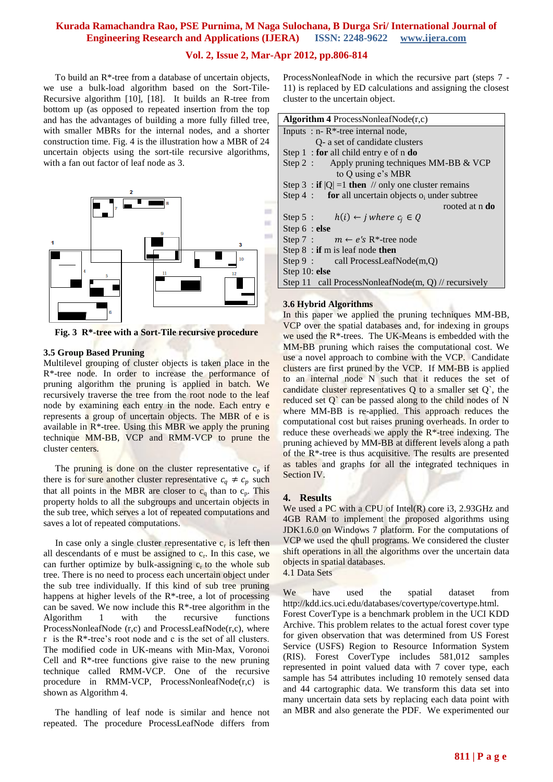## **Vol. 2, Issue 2, Mar-Apr 2012, pp.806-814**

 To build an R\*-tree from a database of uncertain objects, we use a bulk-load algorithm based on the Sort-Tile-Recursive algorithm [10], [18]. It builds an R-tree from bottom up (as opposed to repeated insertion from the top and has the advantages of building a more fully filled tree, with smaller MBRs for the internal nodes, and a shorter construction time. Fig. 4 is the illustration how a MBR of 24 uncertain objects using the sort-tile recursive algorithms, with a fan out factor of leaf node as 3.



**Fig. 3 R\*-tree with a Sort-Tile recursive procedure**

#### **3.5 Group Based Pruning**

Multilevel grouping of cluster objects is taken place in the R\*-tree node. In order to increase the performance of pruning algorithm the pruning is applied in batch. We recursively traverse the tree from the root node to the leaf node by examining each entry in the node. Each entry e represents a group of uncertain objects. The MBR of e is available in R\*-tree. Using this MBR we apply the pruning technique MM-BB, VCP and RMM-VCP to prune the cluster centers.

The pruning is done on the cluster representative  $c_p$  if there is for sure another cluster representative  $c_q \neq c_p$  such that all points in the MBR are closer to  $c_q$  than to  $c_p$ . This property holds to all the subgroups and uncertain objects in the sub tree, which serves a lot of repeated computations and saves a lot of repeated computations.

In case only a single cluster representative  $c_r$  is left then all descendants of e must be assigned to  $c_r$ . In this case, we can further optimize by bulk-assigning  $c<sub>r</sub>$  to the whole sub tree. There is no need to process each uncertain object under the sub tree individually. If this kind of sub tree pruning happens at higher levels of the  $R^*$ -tree, a lot of processing can be saved. We now include this  $R^*$ -tree algorithm in the Algorithm 1 with the recursive functions ProcessNonleafNode (r,c) and ProcessLeafNode(r,c), where r is the  $R^*$ -tree's root node and c is the set of all clusters. The modified code in UK-means with Min-Max, Voronoi Cell and R\*-tree functions give raise to the new pruning technique called RMM-VCP. One of the recursive procedure in RMM-VCP, ProcessNonleafNode(r,c) is shown as Algorithm 4.

 The handling of leaf node is similar and hence not repeated. The procedure ProcessLeafNode differs from

ProcessNonleafNode in which the recursive part (steps 7 - 11) is replaced by ED calculations and assigning the closest cluster to the uncertain object.

| Algorithm 4 ProcessNonleafNode $(r,c)$                  |  |  |  |
|---------------------------------------------------------|--|--|--|
| Inputs : $n - R^*$ -tree internal node,                 |  |  |  |
| Q- a set of candidate clusters                          |  |  |  |
| Step $1$ : for all child entry e of n do                |  |  |  |
| Step 2 : Apply pruning techniques MM-BB $&$ VCP         |  |  |  |
| to Q using e's MBR                                      |  |  |  |
| Step 3 : if $ Q  = 1$ then // only one cluster remains  |  |  |  |
| Step 4 : for all uncertain objects $o_i$ under subtree  |  |  |  |
| rooted at n <b>do</b>                                   |  |  |  |
| Step 5: $h(i) \leftarrow j$ where $c_i \in Q$           |  |  |  |
| Step $6$ : else                                         |  |  |  |
| Step 7 : $m \leftarrow e$ 's R <sup>*</sup> -tree node  |  |  |  |
| Step $8:$ if m is leaf node then                        |  |  |  |
| $Step 9: \text{call ProcessLeafNode}(m,0)$              |  |  |  |
| Step 10: else                                           |  |  |  |
| Step 11 call ProcessNonleafNode(m, $Q$ ) // recursively |  |  |  |
|                                                         |  |  |  |

## **3.6 Hybrid Algorithms**

In this paper we applied the pruning techniques MM-BB, VCP over the spatial databases and, for indexing in groups we used the R\*-trees. The UK-Means is embedded with the MM-BB pruning which raises the computational cost. We use a novel approach to combine with the VCP. Candidate clusters are first pruned by the VCP. If MM-BB is applied to an internal node N such that it reduces the set of candidate cluster representatives Q to a smaller set Q`, the reduced set Q' can be passed along to the child nodes of N where MM-BB is re-applied. This approach reduces the computational cost but raises pruning overheads. In order to reduce these overheads we apply the R\*-tree indexing. The pruning achieved by MM-BB at different levels along a path of the R\*-tree is thus acquisitive. The results are presented as tables and graphs for all the integrated techniques in Section IV.

#### **4. Results**

We used a PC with a CPU of Intel(R) core i3, 2.93GHz and 4GB RAM to implement the proposed algorithms using JDK1.6.0 on Windows 7 platform. For the computations of VCP we used the qhull programs. We considered the cluster shift operations in all the algorithms over the uncertain data objects in spatial databases.

4.1 Data Sets

We have used the spatial dataset from http://kdd.ics.uci.edu/databases/covertype/covertype.html. Forest CoverType is a benchmark problem in the UCI KDD Archive. This problem relates to the actual forest cover type for given observation that was determined from US Forest Service (USFS) Region to Resource Information System (RIS). Forest CoverType includes 581,012 samples represented in point valued data with 7 cover type, each sample has 54 attributes including 10 remotely sensed data and 44 cartographic data. We transform this data set into many uncertain data sets by replacing each data point with an MBR and also generate the PDF. We experimented our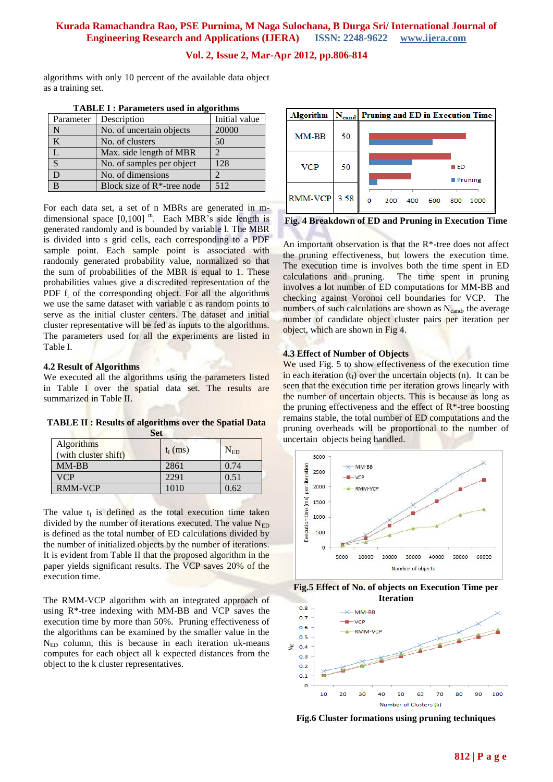## **Vol. 2, Issue 2, Mar-Apr 2012, pp.806-814**

algorithms with only 10 percent of the available data object as a training set.

| Parameter | Description                    | Initial value |
|-----------|--------------------------------|---------------|
| N         | No. of uncertain objects       | 20000         |
| K         | No. of clusters                | 50            |
|           | Max. side length of MBR        |               |
| S         | No. of samples per object      | 128           |
|           | No. of dimensions              |               |
| R         | Block size of $R^*$ -tree node | 512           |

**TABLE I : Parameters used in algorithms**

For each data set, a set of n MBRs are generated in mdimensional space  $[0,100]$ <sup>m</sup>. Each MBR's side length is generated randomly and is bounded by variable l. The MBR is divided into s grid cells, each corresponding to a PDF sample point. Each sample point is associated with randomly generated probability value, normalized so that the sum of probabilities of the MBR is equal to 1. These probabilities values give a discredited representation of the PDF  $f_i$  of the corresponding object. For all the algorithms we use the same dataset with variable c as random points to serve as the initial cluster centers. The dataset and initial cluster representative will be fed as inputs to the algorithms. The parameters used for all the experiments are listed in Table I.

#### **4.2 Result of Algorithms**

We executed all the algorithms using the parameters listed in Table I over the spatial data set. The results are summarized in Table II.

|                                           | Set        |                |
|-------------------------------------------|------------|----------------|
| <b>Algorithms</b><br>(with cluster shift) | $t_I$ (ms) | ${\rm N_{ED}}$ |
| MM-BB                                     | 2861       | 0.74           |

VCP 2291 0.51 RMM-VCP 1010 0.62

**TABLE II : Results of algorithms over the Spatial Data** 

The value  $t_I$  is defined as the total execution time taken divided by the number of iterations executed. The value  $N_{ED}$ is defined as the total number of ED calculations divided by the number of initialized objects by the number of iterations. It is evident from Table II that the proposed algorithm in the paper yields significant results. The VCP saves 20% of the execution time.

The RMM-VCP algorithm with an integrated approach of using R\*-tree indexing with MM-BB and VCP saves the execution time by more than 50%. Pruning effectiveness of the algorithms can be examined by the smaller value in the  $N_{ED}$  column, this is because in each iteration uk-means computes for each object all k expected distances from the object to the k cluster representatives.



**Fig. 4 Breakdown of ED and Pruning in Execution Time**

An important observation is that the R\*-tree does not affect the pruning effectiveness, but lowers the execution time. The execution time is involves both the time spent in ED calculations and pruning. The time spent in pruning involves a lot number of ED computations for MM-BB and checking against Voronoi cell boundaries for VCP. The numbers of such calculations are shown as  $N_{\text{cand}}$ , the average number of candidate object cluster pairs per iteration per object, which are shown in Fig 4.

#### **4.3 Effect of Number of Objects**

We used Fig. 5 to show effectiveness of the execution time in each iteration  $(t<sub>I</sub>)$  over the uncertain objects (n). It can be seen that the execution time per iteration grows linearly with the number of uncertain objects. This is because as long as the pruning effectiveness and the effect of  $R^*$ -tree boosting remains stable, the total number of ED computations and the pruning overheads will be proportional to the number of uncertain objects being handled.







**Fig.6 Cluster formations using pruning techniques**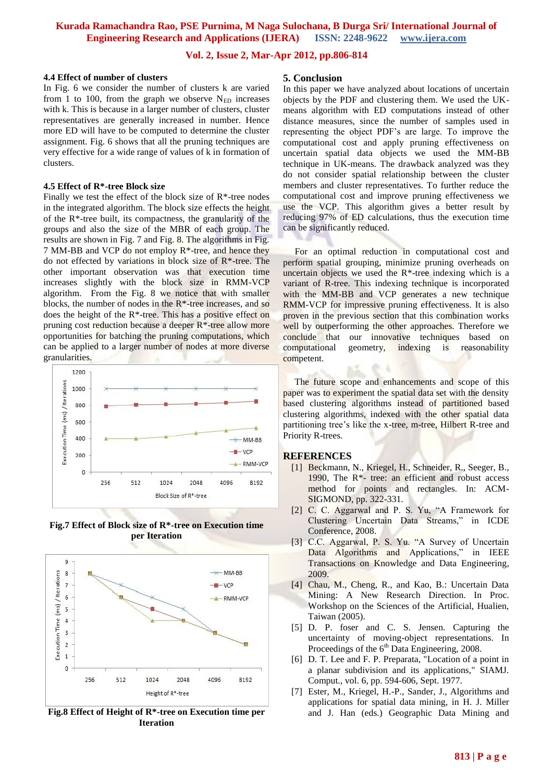## **Vol. 2, Issue 2, Mar-Apr 2012, pp.806-814**

#### **4.4 Effect of number of clusters**

In Fig. 6 we consider the number of clusters k are varied from 1 to 100, from the graph we observe  $N_{ED}$  increases with k. This is because in a larger number of clusters, cluster representatives are generally increased in number. Hence more ED will have to be computed to determine the cluster assignment. Fig. 6 shows that all the pruning techniques are very effective for a wide range of values of k in formation of clusters.

## **4.5 Effect of R\*-tree Block size**

Finally we test the effect of the block size of  $R^*$ -tree nodes in the integrated algorithm. The block size effects the height of the R\*-tree built, its compactness, the granularity of the groups and also the size of the MBR of each group. The results are shown in Fig. 7 and Fig. 8. The algorithms in Fig. 7 MM-BB and VCP do not employ R\*-tree, and hence they do not effected by variations in block size of R\*-tree. The other important observation was that execution time increases slightly with the block size in RMM-VCP algorithm. From the Fig. 8 we notice that with smaller blocks, the number of nodes in the R\*-tree increases, and so does the height of the R\*-tree. This has a positive effect on pruning cost reduction because a deeper R\*-tree allow more opportunities for batching the pruning computations, which can be applied to a larger number of nodes at more diverse granularities.



**Fig.7 Effect of Block size of R\*-tree on Execution time per Iteration**



**Fig.8 Effect of Height of R\*-tree on Execution time per Iteration**

#### **5. Conclusion**

In this paper we have analyzed about locations of uncertain objects by the PDF and clustering them. We used the UKmeans algorithm with ED computations instead of other distance measures, since the number of samples used in representing the object PDF's are large. To improve the computational cost and apply pruning effectiveness on uncertain spatial data objects we used the MM-BB technique in UK-means. The drawback analyzed was they do not consider spatial relationship between the cluster members and cluster representatives. To further reduce the computational cost and improve pruning effectiveness we use the VCP. This algorithm gives a better result by reducing 97% of ED calculations, thus the execution time can be significantly reduced.

 For an optimal reduction in computational cost and perform spatial grouping, minimize pruning overheads on uncertain objects we used the  $R^*$ -tree indexing which is a variant of R-tree. This indexing technique is incorporated with the MM-BB and VCP generates a new technique RMM-VCP for impressive pruning effectiveness. It is also proven in the previous section that this combination works well by outperforming the other approaches. Therefore we conclude that our innovative techniques based on computational geometry, indexing is reasonability competent.

 The future scope and enhancements and scope of this paper was to experiment the spatial data set with the density based clustering algorithms instead of partitioned based clustering algorithms, indexed with the other spatial data partitioning tree's like the x-tree, m-tree, Hilbert R-tree and Priority R-trees.

#### **REFERENCES**

- [1] Beckmann, N., Kriegel, H., Schneider, R., Seeger, B., 1990, The  $R^*$ - tree: an efficient and robust access method for points and rectangles. In: ACM-SIGMOND, pp. 322-331.
- [2] C. C. Aggarwal and P. S. Yu, "A Framework for Clustering Uncertain Data Streams," in ICDE Conference, 2008.
- [3] C.C. Aggarwal, P. S. Yu. "A Survey of Uncertain Data Algorithms and Applications," in IEEE Transactions on Knowledge and Data Engineering, 2009.
- [4] Chau, M., Cheng, R., and Kao, B.: Uncertain Data Mining: A New Research Direction. In Proc. Workshop on the Sciences of the Artificial, Hualien, Taiwan (2005).
- [5] D. P. foser and C. S. Jensen. Capturing the uncertainty of moving-object representations. In Proceedings of the  $6<sup>th</sup>$  Data Engineering, 2008.
- [6] D. T. Lee and F. P. Preparata, "Location of a point in a planar subdivision and its applications," SIAMJ. Comput., vol. 6, pp. 594-606, Sept. 1977.
- [7] Ester, M., Kriegel, H.-P., Sander, J., Algorithms and applications for spatial data mining, in H. J. Miller and J. Han (eds.) Geographic Data Mining and